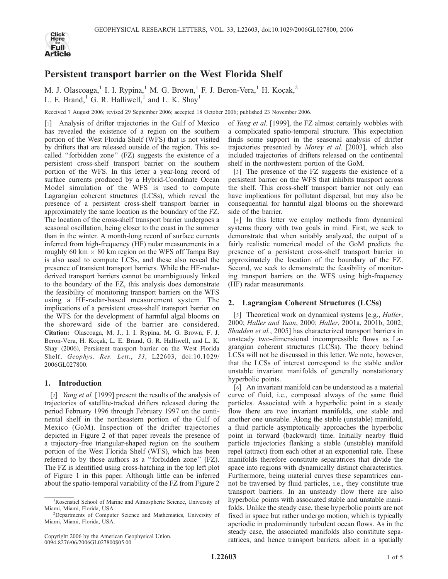

# Persistent transport barrier on the West Florida Shelf

M. J. Olascoaga, <sup>1</sup> I. I. Rypina, <sup>1</sup> M. G. Brown, <sup>1</sup> F. J. Beron-Vera, <sup>1</sup> H. Koçak, <sup>2</sup> L. E. Brand,<sup>1</sup> G. R. Halliwell,<sup>1</sup> and L. K. Shay<sup>1</sup>

Received 7 August 2006; revised 29 September 2006; accepted 18 October 2006; published 23 November 2006.

[1] Analysis of drifter trajectories in the Gulf of Mexico has revealed the existence of a region on the southern portion of the West Florida Shelf (WFS) that is not visited by drifters that are released outside of the region. This socalled ''forbidden zone'' (FZ) suggests the existence of a persistent cross-shelf transport barrier on the southern portion of the WFS. In this letter a year-long record of surface currents produced by a Hybrid-Coordinate Ocean Model simulation of the WFS is used to compute Lagrangian coherent structures (LCSs), which reveal the presence of a persistent cross-shelf transport barrier in approximately the same location as the boundary of the FZ. The location of the cross-shelf transport barrier undergoes a seasonal oscillation, being closer to the coast in the summer than in the winter. A month-long record of surface currents inferred from high-frequency (HF) radar measurements in a roughly 60 km  $\times$  80 km region on the WFS off Tampa Bay is also used to compute LCSs, and these also reveal the presence of transient transport barriers. While the HF-radarderived transport barriers cannot be unambiguously linked to the boundary of the FZ, this analysis does demonstrate the feasibility of monitoring transport barriers on the WFS using a HF-radar-based measurement system. The implications of a persistent cross-shelf transport barrier on the WFS for the development of harmful algal blooms on the shoreward side of the barrier are considered. Citation: Olascoaga, M. J., I. I. Rypina, M. G. Brown, F. J. Beron-Vera, H. Koçak, L. E. Brand, G. R. Halliwell, and L. K. Shay (2006), Persistent transport barrier on the West Florida Shelf, Geophys. Res. Lett., 33, L22603, doi:10.1029/ 2006GL027800.

# 1. Introduction

[2] *Yang et al.* [1999] present the results of the analysis of trajectories of satellite-tracked drifters released during the period February 1996 through February 1997 on the continental shelf in the northeastern portion of the Gulf of Mexico (GoM). Inspection of the drifter trajectories depicted in Figure 2 of that paper reveals the presence of a trajectory-free triangular-shaped region on the southern portion of the West Florida Shelf (WFS), which has been referred to by those authors as a ''forbidden zone'' (FZ). The FZ is identified using cross-hatching in the top left plot of Figure 1 in this paper. Although little can be inferred about the spatio-temporal variability of the FZ from Figure 2

of Yang et al. [1999], the FZ almost certainly wobbles with a complicated spatio-temporal structure. This expectation finds some support in the seasonal analysis of drifter trajectories presented by Morey et al. [2003], which also included trajectories of drifters released on the continental shelf in the northwestern portion of the GoM.

[3] The presence of the FZ suggests the existence of a persistent barrier on the WFS that inhibits transport across the shelf. This cross-shelf transport barrier not only can have implications for pollutant dispersal, but may also be consequential for harmful algal blooms on the shoreward side of the barrier.

[4] In this letter we employ methods from dynamical systems theory with two goals in mind. First, we seek to demonstrate that when suitably analyzed, the output of a fairly realistic numerical model of the GoM predicts the presence of a persistent cross-shelf transport barrier in approximately the location of the boundary of the FZ. Second, we seek to demonstrate the feasibility of monitoring transport barriers on the WFS using high-frequency (HF) radar measurements.

# 2. Lagrangian Coherent Structures (LCSs)

[5] Theoretical work on dynamical systems [e.g., *Haller*, 2000; Haller and Yuan, 2000; Haller, 2001a, 2001b, 2002; Shadden et al., 2005] has characterized transport barriers in unsteady two-dimensional incompressible flows as Lagrangian coherent structures (LCSs). The theory behind LCSs will not be discussed in this letter. We note, however, that the LCSs of interest correspond to the stable and/or unstable invariant manifolds of generally nonstationary hyperbolic points.

[6] An invariant manifold can be understood as a material curve of fluid, i.e., composed always of the same fluid particles. Associated with a hyperbolic point in a steady flow there are two invariant manifolds, one stable and another one unstable. Along the stable (unstable) manifold, a fluid particle asymptotically approaches the hyperbolic point in forward (backward) time. Initially nearby fluid particle trajectories flanking a stable (unstable) manifold repel (attract) from each other at an exponential rate. These manifolds therefore constitute separatrices that divide the space into regions with dynamically distinct characteristics. Furthermore, being material curves these separatrices cannot be traversed by fluid particles, i.e., they constitute true transport barriers. In an unsteady flow there are also hyperbolic points with associated stable and unstable manifolds. Unlike the steady case, these hyperbolic points are not fixed in space but rather undergo motion, which is typically aperiodic in predominantly turbulent ocean flows. As in the steady case, the associated manifolds also constitute separatrices, and hence transport barriers, albeit in a spatially

<sup>&</sup>lt;sup>1</sup>Rosenstiel School of Marine and Atmospheric Science, University of Miami, Miami, Florida, USA. <sup>2</sup>

<sup>&</sup>lt;sup>2</sup>Departments of Computer Science and Mathematics, University of Miami, Miami, Florida, USA.

Copyright 2006 by the American Geophysical Union. 0094-8276/06/2006GL027800\$05.00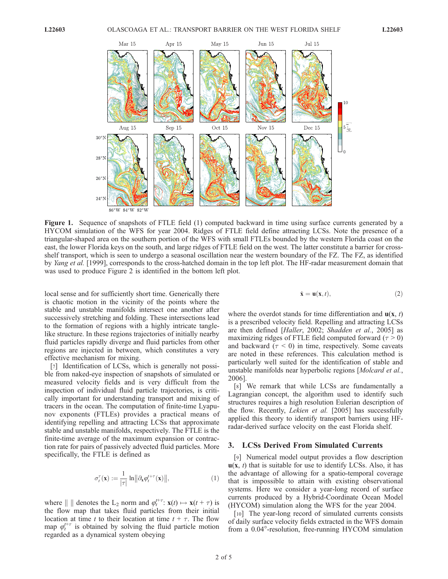

Figure 1. Sequence of snapshots of FTLE field (1) computed backward in time using surface currents generated by a HYCOM simulation of the WFS for year 2004. Ridges of FTLE field define attracting LCSs. Note the presence of a triangular-shaped area on the southern portion of the WFS with small FTLEs bounded by the western Florida coast on the east, the lower Florida keys on the south, and large ridges of FTLE field on the west. The latter constitute a barrier for crossshelf transport, which is seen to undergo a seasonal oscillation near the western boundary of the FZ. The FZ, as identified by *Yang et al.* [1999], corresponds to the cross-hatched domain in the top left plot. The HF-radar measurement domain that was used to produce Figure 2 is identified in the bottom left plot.

local sense and for sufficiently short time. Generically there is chaotic motion in the vicinity of the points where the stable and unstable manifolds intersect one another after successively stretching and folding. These intersections lead to the formation of regions with a highly intricate tanglelike structure. In these regions trajectories of initially nearby fluid particles rapidly diverge and fluid particles from other regions are injected in between, which constitutes a very effective mechanism for mixing.

[7] Identification of LCSs, which is generally not possible from naked-eye inspection of snapshots of simulated or measured velocity fields and is very difficult from the inspection of individual fluid particle trajectories, is critically important for understanding transport and mixing of tracers in the ocean. The computation of finite-time Lyapunov exponents (FTLEs) provides a practical means of identifying repelling and attracting LCSs that approximate stable and unstable manifolds, respectively. The FTLE is the finite-time average of the maximum expansion or contraction rate for pairs of passively advected fluid particles. More specifically, the FTLE is defined as

$$
\sigma_t^{\tau}(\mathbf{x}) := \frac{1}{|\tau|} \ln \|\partial_{\mathbf{x}} \varphi_t^{t+\tau}(\mathbf{x})\|,\tag{1}
$$

where  $\| \text{ } \|$  denotes the L<sub>2</sub> norm and  $\varphi_t^{t+\tau}$ :  $\mathbf{x}(t) \mapsto \mathbf{x}(t + \tau)$  is the flow map that takes fluid particles from their initial location at time t to their location at time  $t + \tau$ . The flow map  $\varphi_t^{t+\tau}$  is obtained by solving the fluid particle motion regarded as a dynamical system obeying

$$
\dot{\mathbf{x}} = \mathbf{u}(\mathbf{x}, t),\tag{2}
$$

where the overdot stands for time differentiation and  $\mathbf{u}(\mathbf{x}, t)$ is a prescribed velocity field. Repelling and attracting LCSs are then defined [Haller, 2002; Shadden et al., 2005] as maximizing ridges of FTLE field computed forward ( $\tau > 0$ ) and backward ( $\tau$  < 0) in time, respectively. Some caveats are noted in these references. This calculation method is particularly well suited for the identification of stable and unstable manifolds near hyperbolic regions [Molcard et al., 2006].

[8] We remark that while LCSs are fundamentally a Lagrangian concept, the algorithm used to identify such structures requires a high resolution Eulerian description of the flow. Recently, *Lekien et al.* [2005] has successfully applied this theory to identify transport barriers using HFradar-derived surface velocity on the east Florida shelf.

#### 3. LCSs Derived From Simulated Currents

[9] Numerical model output provides a flow description  $u(x, t)$  that is suitable for use to identify LCSs. Also, it has the advantage of allowing for a spatio-temporal coverage that is impossible to attain with existing observational systems. Here we consider a year-long record of surface currents produced by a Hybrid-Coordinate Ocean Model (HYCOM) simulation along the WFS for the year 2004.

[10] The year-long record of simulated currents consists of daily surface velocity fields extracted in the WFS domain from a 0.04°-resolution, free-running HYCOM simulation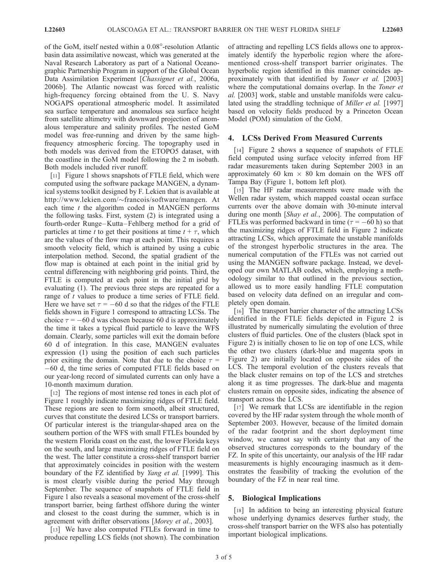of the GoM, itself nested within a 0.08-resolution Atlantic basin data assimilative nowcast, which was generated at the Naval Research Laboratory as part of a National Oceanographic Partnership Program in support of the Global Ocean Data Assimilation Experiment [Chassignet et al., 2006a, 2006b]. The Atlantic nowcast was forced with realistic high-frequency forcing obtained from the U. S. Navy NOGAPS operational atmospheric model. It assimilated sea surface temperature and anomalous sea surface height from satellite altimetry with downward projection of anomalous temperature and salinity profiles. The nested GoM model was free-running and driven by the same highfrequency atmospheric forcing. The topography used in both models was derived from the ETOPO5 dataset, with the coastline in the GoM model following the 2 m isobath. Both models included river runoff.

[11] Figure 1 shows snapshots of FTLE field, which were computed using the software package MANGEN, a dynamical systems toolkit designed by F. Lekien that is available at http://www.lekien.com/ francois/software/mangen. At each time  $t$  the algorithm coded in MANGEN performs the following tasks. First, system (2) is integrated using a fourth-order Runge-Kutta-Fehlberg method for a grid of particles at time t to get their positions at time  $t + \tau$ , which are the values of the flow map at each point. This requires a smooth velocity field, which is attained by using a cubic interpolation method. Second, the spatial gradient of the flow map is obtained at each point in the initial grid by central differencing with neighboring grid points. Third, the FTLE is computed at each point in the initial grid by evaluating (1). The previous three steps are repeated for a range of t values to produce a time series of FTLE field. Here we have set  $\tau = -60$  d so that the ridges of the FTLE fields shown in Figure 1 correspond to attracting LCSs. The choice  $\tau = -60$  d was chosen because 60 d is approximately the time it takes a typical fluid particle to leave the WFS domain. Clearly, some particles will exit the domain before 60 d of integration. In this case, MANGEN evaluates expression (1) using the position of each such particles prior exiting the domain. Note that due to the choice  $\tau =$ 60 d, the time series of computed FTLE fields based on our year-long record of simulated currents can only have a 10-month maximum duration.

[12] The regions of most intense red tones in each plot of Figure 1 roughly indicate maximizing ridges of FTLE field. These regions are seen to form smooth, albeit structured, curves that constitute the desired LCSs or transport barriers. Of particular interest is the triangular-shaped area on the southern portion of the WFS with small FTLEs bounded by the western Florida coast on the east, the lower Florida keys on the south, and large maximizing ridges of FTLE field on the west. The latter constitute a cross-shelf transport barrier that approximately coincides in position with the western boundary of the FZ identified by *Yang et al.* [1999]. This is most clearly visible during the period May through September. The sequence of snapshots of FTLE field in Figure 1 also reveals a seasonal movement of the cross-shelf transport barrier, being farthest offshore during the winter and closest to the coast during the summer, which is in agreement with drifter observations [Morey et al., 2003].

[13] We have also computed FTLEs forward in time to produce repelling LCS fields (not shown). The combination of attracting and repelling LCS fields allows one to approximately identify the hyperbolic region where the aforementioned cross-shelf transport barrier originates. The hyperbolic region identified in this manner coincides approximately with that identified by Toner et al. [2003] where the computational domains overlap. In the *Toner et* al. [2003] work, stable and unstable manifolds were calculated using the straddling technique of Miller et al. [1997] based on velocity fields produced by a Princeton Ocean Model (POM) simulation of the GoM.

## 4. LCSs Derived From Measured Currents

[14] Figure 2 shows a sequence of snapshots of FTLE field computed using surface velocity inferred from HF radar measurements taken during September 2003 in an approximately 60 km  $\times$  80 km domain on the WFS off Tampa Bay (Figure 1, bottom left plot).

[15] The HF radar measurements were made with the Wellen radar system, which mapped coastal ocean surface currents over the above domain with 30-minute interval during one month [Shay et al., 2006]. The computation of FTLEs was performed backward in time ( $\tau = -60$  h) so that the maximizing ridges of FTLE field in Figure 2 indicate attracting LCSs, which approximate the unstable manifolds of the strongest hyperbolic structures in the area. The numerical computation of the FTLEs was not carried out using the MANGEN software package. Instead, we developed our own MATLAB codes, which, employing a methodology similar to that outlined in the previous section, allowed us to more easily handling FTLE computation based on velocity data defined on an irregular and completely open domain.

[16] The transport barrier character of the attracting LCSs identified in the FTLE fields depicted in Figure 2 is illustrated by numerically simulating the evolution of three clusters of fluid particles. One of the clusters (black spot in Figure 2) is initially chosen to lie on top of one LCS, while the other two clusters (dark-blue and magenta spots in Figure 2) are initially located on opposite sides of the LCS. The temporal evolution of the clusters reveals that the black cluster remains on top of the LCS and stretches along it as time progresses. The dark-blue and magenta clusters remain on opposite sides, indicating the absence of transport across the LCS.

[17] We remark that LCSs are identifiable in the region covered by the HF radar system through the whole month of September 2003. However, because of the limited domain of the radar footprint and the short deployment time window, we cannot say with certainty that any of the observed structures corresponds to the boundary of the FZ. In spite of this uncertainty, our analysis of the HF radar measurements is highly encouraging inasmuch as it demonstrates the feasibility of tracking the evolution of the boundary of the FZ in near real time.

## 5. Biological Implications

[18] In addition to being an interesting physical feature whose underlying dynamics deserves further study, the cross-shelf transport barrier on the WFS also has potentially important biological implications.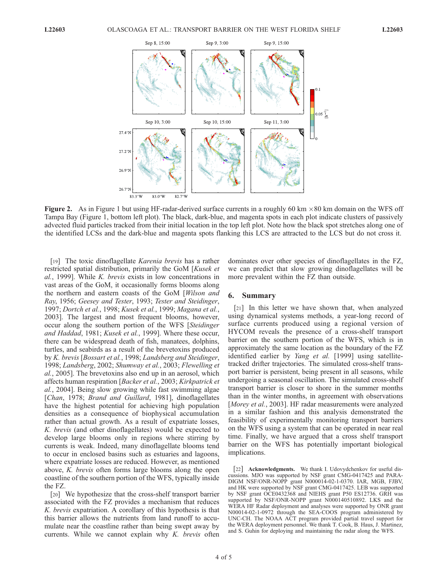

Figure 2. As in Figure 1 but using HF-radar-derived surface currents in a roughly 60 km  $\times 80$  km domain on the WFS off Tampa Bay (Figure 1, bottom left plot). The black, dark-blue, and magenta spots in each plot indicate clusters of passively advected fluid particles tracked from their initial location in the top left plot. Note how the black spot stretches along one of the identified LCSs and the dark-blue and magenta spots flanking this LCS are attracted to the LCS but do not cross it.

[19] The toxic dinoflagellate Karenia brevis has a rather restricted spatial distribution, primarily the GoM [Kusek et al., 1999]. While K. brevis exists in low concentrations in vast areas of the GoM, it occasionally forms blooms along the northern and eastern coasts of the GoM [Wilson and Ray, 1956; Geesey and Tester, 1993; Tester and Steidinger, 1997; Dortch et al., 1998; Kusek et al., 1999; Magana et al., 2003]. The largest and most frequent blooms, however, occur along the southern portion of the WFS [Steidinger and Haddad, 1981; Kusek et al., 1999]. Where these occur, there can be widespread death of fish, manatees, dolphins, turtles, and seabirds as a result of the brevetoxins produced by K. brevis [Bossart et al., 1998; Landsberg and Steidinger, 1998; Landsberg, 2002; Shumway et al., 2003; Flewelling et al., 2005]. The brevetoxins also end up in an aerosol, which affects human respiration [Backer et al., 2003; Kirkpatrick et al., 2004]. Being slow growing while fast swimming algae [Chan, 1978; Brand and Guillard, 1981], dinoflagellates have the highest potential for achieving high population densities as a consequence of biophysical accumulation rather than actual growth. As a result of expatriate losses, K. brevis (and other dinoflagellates) would be expected to develop large blooms only in regions where stirring by currents is weak. Indeed, many dinoflagellate blooms tend to occur in enclosed basins such as estuaries and lagoons, where expatriate losses are reduced. However, as mentioned above, K. brevis often forms large blooms along the open coastline of the southern portion of the WFS, typically inside the FZ.

[20] We hypothesize that the cross-shelf transport barrier associated with the FZ provides a mechanism that reduces K. brevis expatriation. A corollary of this hypothesis is that this barrier allows the nutrients from land runoff to accumulate near the coastline rather than being swept away by currents. While we cannot explain why  $K$ . brevis often dominates over other species of dinoflagellates in the FZ, we can predict that slow growing dinoflagellates will be more prevalent within the FZ than outside.

#### 6. Summary

[21] In this letter we have shown that, when analyzed using dynamical systems methods, a year-long record of surface currents produced using a regional version of HYCOM reveals the presence of a cross-shelf transport barrier on the southern portion of the WFS, which is in approximately the same location as the boundary of the FZ identified earlier by Yang et al. [1999] using satellitetracked drifter trajectories. The simulated cross-shelf transport barrier is persistent, being present in all seasons, while undergoing a seasonal oscillation. The simulated cross-shelf transport barrier is closer to shore in the summer months than in the winter months, in agreement with observations [Morey et al., 2003]. HF radar measurements were analyzed in a similar fashion and this analysis demonstrated the feasibility of experimentally monitoring transport barriers on the WFS using a system that can be operated in near real time. Finally, we have argued that a cross shelf transport barrier on the WFS has potentially important biological implications.

[22] **Acknowledgments.** We thank I. Udovydchenkov for useful discussions. MJO was supported by NSF grant CMG-0417425 and PARA-DIGM NSF/ONR-NOPP grant N000014-02-1-0370. IAR, MGB, FJBV, and HK were supported by NSF grant CMG-0417425. LEB was supported by NSF grant OCE0432368 and NIEHS grant P50 ES12736. GRH was supported by NSF/ONR-NOPP grant N000140510892. LKS and the WERA HF Radar deployment and analyses were supported by ONR grant N00014-02-1-0972 through the SEA-COOS program administered by UNC-CH. The NOAA ACT program provided partial travel support for the WERA deployment personnel. We thank T. Cook, B. Haus, J. Martinez, and S. Guhin for deploying and maintaining the radar along the WFS.